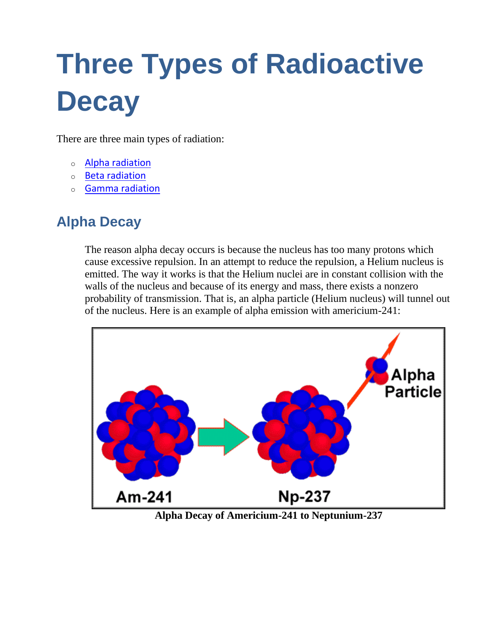## **Three Types of Radioactive Decay**

There are three main types of radiation:

- o [Alpha radiation](http://library.thinkquest.org/3471/radiation_types_body.html#alpha)
- o [Beta radiation](http://library.thinkquest.org/3471/radiation_types_body.html#beta)
- o [Gamma radiation](http://library.thinkquest.org/3471/radiation_types_body.html#gamma)

## **Alpha Decay**

The reason alpha decay occurs is because the nucleus has too many protons which cause excessive repulsion. In an attempt to reduce the repulsion, a Helium nucleus is emitted. The way it works is that the Helium nuclei are in constant collision with the walls of the nucleus and because of its energy and mass, there exists a nonzero probability of transmission. That is, an alpha particle (Helium nucleus) will tunnel out of the nucleus. Here is an example of alpha emission with americium-241:



**Alpha Decay of Americium-241 to Neptunium-237**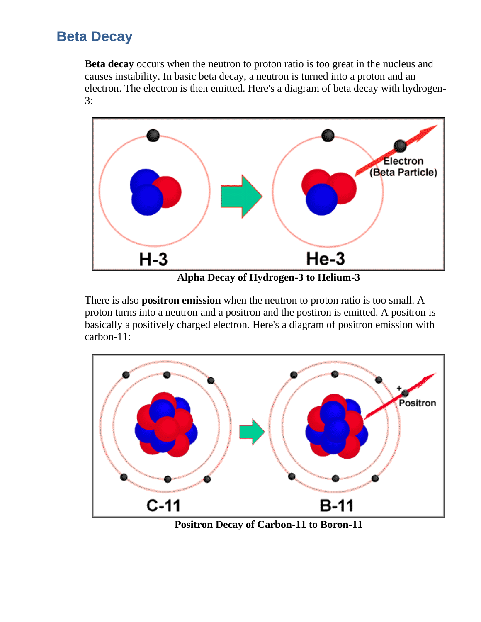## **Beta Decay**

**Beta decay** occurs when the neutron to proton ratio is too great in the nucleus and causes instability. In basic beta decay, a neutron is turned into a proton and an electron. The electron is then emitted. Here's a diagram of beta decay with hydrogen-3:



**Alpha Decay of Hydrogen-3 to Helium-3**

There is also **positron emission** when the neutron to proton ratio is too small. A proton turns into a neutron and a positron and the postiron is emitted. A positron is basically a positively charged electron. Here's a diagram of positron emission with carbon-11:



**Positron Decay of Carbon-11 to Boron-11**